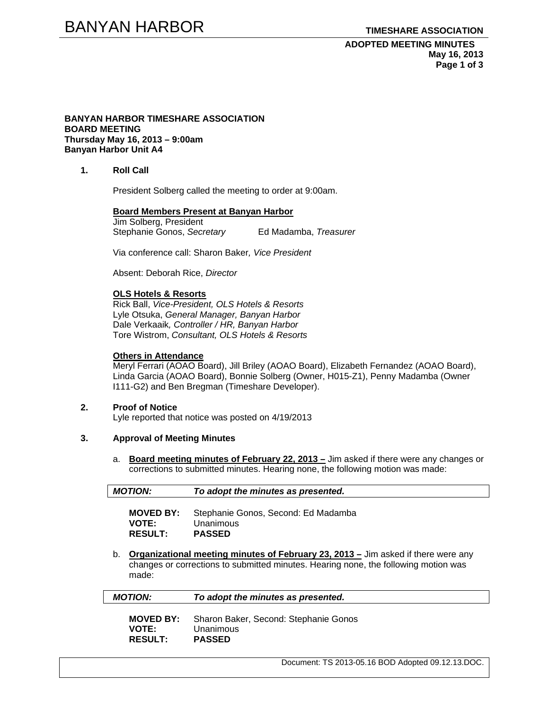### **BANYAN HARBOR TIMESHARE ASSOCIATION BOARD MEETING Thursday May 16, 2013 – 9:00am Banyan Harbor Unit A4**

**1. Roll Call** 

President Solberg called the meeting to order at 9:00am.

#### **Board Members Present at Banyan Harbor**

Jim Solberg, President Stephanie Gonos, *Secretary* Ed Madamba, *Treasurer*

Via conference call: Sharon Baker*, Vice President*

Absent: Deborah Rice, *Director* 

### **OLS Hotels & Resorts**

Rick Ball, *Vice-President, OLS Hotels & Resorts* Lyle Otsuka, *General Manager, Banyan Harbor*  Dale Verkaaik*, Controller / HR, Banyan Harbor*  Tore Wistrom, *Consultant, OLS Hotels & Resorts* 

#### **Others in Attendance**

Meryl Ferrari (AOAO Board), Jill Briley (AOAO Board), Elizabeth Fernandez (AOAO Board), Linda Garcia (AOAO Board), Bonnie Solberg (Owner, H015-Z1), Penny Madamba (Owner I111-G2) and Ben Bregman (Timeshare Developer).

### **2. Proof of Notice**

Lyle reported that notice was posted on 4/19/2013

### **3. Approval of Meeting Minutes**

a. **Board meeting minutes of February 22, 2013 –** Jim asked if there were any changes or corrections to submitted minutes. Hearing none, the following motion was made:

| <b>MOTION:</b> | To adopt the minutes as presented. |  |
|----------------|------------------------------------|--|
|                |                                    |  |

| <b>MOVED BY:</b> | Stephanie Gonos, Second: Ed Madamba |
|------------------|-------------------------------------|
| <b>VOTE:</b>     | Unanimous                           |
| <b>RESULT:</b>   | <b>PASSED</b>                       |

b. **Organizational meeting minutes of February 23, 2013 –** Jim asked if there were any changes or corrections to submitted minutes. Hearing none, the following motion was made:

| <b>MOTION:</b>   | To adopt the minutes as presented.    |
|------------------|---------------------------------------|
| <b>MOVED BY:</b> | Sharon Baker, Second: Stephanie Gonos |
| <b>VOTE:</b>     | Unanimous                             |
| <b>RESULT:</b>   | <b>PASSED</b>                         |

Document: TS 2013-05.16 BOD Adopted 09.12.13.DOC.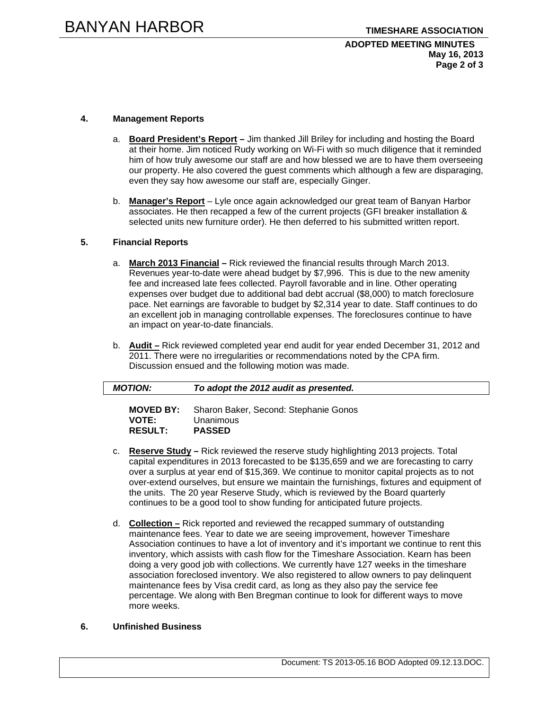# **ADOPTED MEETING MINUTES May 16, 2013 Page 2 of 3**

# **4. Management Reports**

- a. **Board President's Report** Jim thanked Jill Briley for including and hosting the Board at their home. Jim noticed Rudy working on Wi-Fi with so much diligence that it reminded him of how truly awesome our staff are and how blessed we are to have them overseeing our property. He also covered the guest comments which although a few are disparaging, even they say how awesome our staff are, especially Ginger.
- b. **Manager's Report** Lyle once again acknowledged our great team of Banyan Harbor associates. He then recapped a few of the current projects (GFI breaker installation & selected units new furniture order). He then deferred to his submitted written report.

# **5. Financial Reports**

- a. **March 2013 Financial –** Rick reviewed the financial results through March 2013. Revenues year-to-date were ahead budget by \$7,996. This is due to the new amenity fee and increased late fees collected. Payroll favorable and in line. Other operating expenses over budget due to additional bad debt accrual (\$8,000) to match foreclosure pace. Net earnings are favorable to budget by \$2,314 year to date. Staff continues to do an excellent job in managing controllable expenses. The foreclosures continue to have an impact on year-to-date financials.
- b. **Audit –** Rick reviewed completed year end audit for year ended December 31, 2012 and 2011. There were no irregularities or recommendations noted by the CPA firm. Discussion ensued and the following motion was made.

| <b>MOTION:</b>   | To adopt the 2012 audit as presented. |
|------------------|---------------------------------------|
| <b>MOVED BY:</b> | Sharon Baker, Second: Stephanie Gonos |
| <b>VOTE:</b>     | Unanimous                             |

- **RESULT: PASSED**
- c. **Reserve Study –** Rick reviewed the reserve study highlighting 2013 projects. Total capital expenditures in 2013 forecasted to be \$135,659 and we are forecasting to carry over a surplus at year end of \$15,369. We continue to monitor capital projects as to not over-extend ourselves, but ensure we maintain the furnishings, fixtures and equipment of the units. The 20 year Reserve Study, which is reviewed by the Board quarterly continues to be a good tool to show funding for anticipated future projects.
- d. **Collection –** Rick reported and reviewed the recapped summary of outstanding maintenance fees. Year to date we are seeing improvement, however Timeshare Association continues to have a lot of inventory and it's important we continue to rent this inventory, which assists with cash flow for the Timeshare Association. Kearn has been doing a very good job with collections. We currently have 127 weeks in the timeshare association foreclosed inventory. We also registered to allow owners to pay delinquent maintenance fees by Visa credit card, as long as they also pay the service fee percentage. We along with Ben Bregman continue to look for different ways to move more weeks.

# **6. Unfinished Business**

Document: TS 2013-05.16 BOD Adopted 09.12.13.DOC.